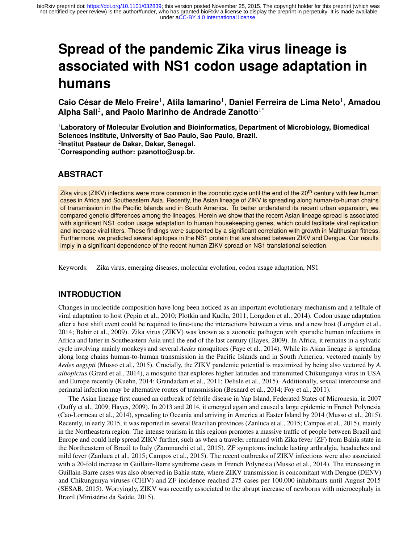# **Spread of the pandemic Zika virus lineage is associated with NS1 codon usage adaptation in humans**

**Caio Cesar de Melo Freire ´** 1 **, Atila Iamarino**<sup>1</sup> **, Daniel Ferreira de Lima Neto**<sup>1</sup> **, Amadou Alpha Sall**<sup>2</sup> **, and Paolo Marinho de Andrade Zanotto**1\*

<sup>1</sup>**Laboratory of Molecular Evolution and Bioinformatics, Department of Microbiology, Biomedical Sciences Institute, University of Sao Paulo, Sao Paulo, Brazil.** 2 **Institut Pasteur de Dakar, Dakar, Senegal.**

\***Corresponding author: pzanotto@usp.br.**

### **ABSTRACT**

Zika virus (ZIKV) infections were more common in the zoonotic cycle until the end of the 20<sup>th</sup> century with few human cases in Africa and Southeastern Asia. Recently, the Asian lineage of ZIKV is spreading along human-to-human chains of transmission in the Pacific Islands and in South America. To better understand its recent urban expansion, we compared genetic differences among the lineages. Herein we show that the recent Asian lineage spread is associated with significant NS1 codon usage adaptation to human housekeeping genes, which could facilitate viral replication and increase viral titers. These findings were supported by a significant correlation with growth in Malthusian fitness. Furthermore, we predicted several epitopes in the NS1 protein that are shared between ZIKV and Dengue. Our results imply in a significant dependence of the recent human ZIKV spread on NS1 translational selection.

Keywords: Zika virus, emerging diseases, molecular evolution, codon usage adaptation, NS1

# **INTRODUCTION**

Changes in nucleotide composition have long been noticed as an important evolutionary mechanism and a telltale of viral adaptation to host (Pepin et al., 2010; Plotkin and Kudla, 2011; Longdon et al., 2014). Codon usage adaptation after a host shift event could be required to fine-tune the interactions between a virus and a new host (Longdon et al., 2014; Bahir et al., 2009). Zika virus (ZIKV) was known as a zoonotic pathogen with sporadic human infections in Africa and latter in Southeastern Asia until the end of the last century (Hayes, 2009). In Africa, it remains in a sylvatic cycle involving mainly monkeys and several *Aedes* mosquitoes (Faye et al., 2014). While its Asian lineage is spreading along long chains human-to-human transmission in the Pacific Islands and in South America, vectored mainly by *Aedes aegypti* (Musso et al., 2015). Crucially, the ZIKV pandemic potential is maximized by being also vectored by *A. albopictus* (Grard et al., 2014), a mosquito that explores higher latitudes and transmitted Chikungunya virus in USA and Europe recently (Kuehn, 2014; Grandadam et al., 2011; Delisle et al., 2015). Additionally, sexual intercourse and perinatal infection may be alternative routes of transmission (Besnard et al., 2014; Foy et al., 2011).

The Asian lineage first caused an outbreak of febrile disease in Yap Island, Federated States of Micronesia, in 2007 (Duffy et al., 2009; Hayes, 2009). In 2013 and 2014, it emerged again and caused a large epidemic in French Polynesia (Cao-Lormeau et al., 2014), spreading to Oceania and arriving in America at Easter Island by 2014 (Musso et al., 2015). Recently, in early 2015, it was reported in several Brazilian provinces (Zanluca et al., 2015; Campos et al., 2015), mainly in the Northeastern region. The intense tourism in this regions promotes a massive traffic of people between Brazil and Europe and could help spread ZIKV further, such as when a traveler returned with Zika fever (ZF) from Bahia state in the Northeastern of Brazil to Italy (Zammarchi et al., 2015). ZF symptoms include lasting arthralgia, headaches and mild fever (Zanluca et al., 2015; Campos et al., 2015). The recent outbreaks of ZIKV infections were also associated with a 20-fold increase in Guillain-Barre syndrome cases in French Polynesia (Musso et al., 2014). The increasing in Guillain-Barre cases was also observed in Bahia state, where ZIKV transmission is concomitant with Dengue (DENV) and Chikungunya viruses (CHIV) and ZF incidence reached 275 cases per 100,000 inhabitants until August 2015 (SESAB, 2015). Worryingly, ZIKV was recently associated to the abrupt increase of newborns with microcephaly in Brazil (Ministério da Saúde, 2015).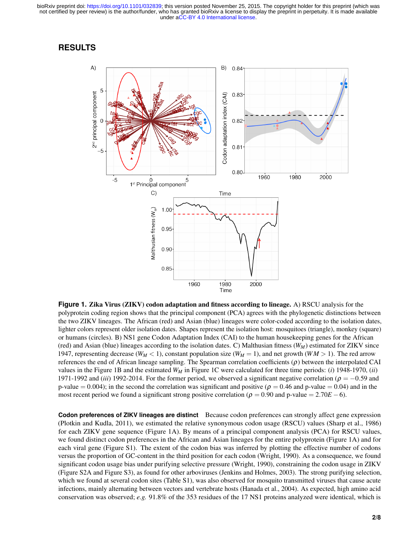under [aCC-BY 4.0 International license.](http://creativecommons.org/licenses/by/4.0/) not certified by peer review) is the author/funder, who has granted bioRxiv a license to display the preprint in perpetuity. It is made available bioRxiv preprint doi: [https://doi.org/10.1101/032839;](https://doi.org/10.1101/032839) this version posted November 25, 2015. The copyright holder for this preprint (which was

#### **RESULTS**



**Figure 1. Zika Virus (ZIKV) codon adaptation and fitness according to lineage.** A) RSCU analysis for the polyprotein coding region shows that the principal component (PCA) agrees with the phylogenetic distinctions between the two ZIKV lineages. The African (red) and Asian (blue) lineages were color-coded according to the isolation dates, lighter colors represent older isolation dates. Shapes represent the isolation host: mosquitoes (triangle), monkey (square) or humans (circles). B) NS1 gene Codon Adaptation Index (CAI) to the human housekeeping genes for the African (red) and Asian (blue) lineages according to the isolation dates. C) Malthusian fitness (*WM*) estimated for ZIKV since 1947, representing decrease ( $W_M$  < 1), constant population size ( $W_M$  = 1), and net growth ( $WM > 1$ ). The red arrow references the end of African lineage sampling. The Spearman correlation coefficients  $(\rho)$  between the interpolated CAI values in the Figure 1B and the estimated  $W_M$  in Figure 1C were calculated for three time periods: (*i*) 1948-1970, (*ii*) 1971-1992 and *(iii)* 1992-2014. For the former period, we observed a significant negative correlation ( $\rho = -0.59$  and p-value = 0.004); in the second the correlation was significant and positive ( $\rho = 0.46$  and p-value = 0.04) and in the most recent period we found a significant strong positive correlation ( $\rho = 0.90$  and p-value = 2.70*E* −6).

**Codon preferences of ZIKV lineages are distinct** Because codon preferences can strongly affect gene expression (Plotkin and Kudla, 2011), we estimated the relative synonymous codon usage (RSCU) values (Sharp et al., 1986) for each ZIKV gene sequence (Figure 1A). By means of a principal component analysis (PCA) for RSCU values, we found distinct codon preferences in the African and Asian lineages for the entire polyprotein (Figure 1A) and for each viral gene (Figure S1). The extent of the codon bias was inferred by plotting the effective number of codons versus the proportion of GC-content in the third position for each codon (Wright, 1990). As a consequence, we found significant codon usage bias under purifying selective pressure (Wright, 1990), constraining the codon usage in ZIKV (Figure S2A and Figure S3), as found for other arboviruses (Jenkins and Holmes, 2003). The strong purifying selection, which we found at several codon sites (Table S1), was also observed for mosquito transmitted viruses that cause acute infections, mainly alternating between vectors and vertebrate hosts (Hanada et al., 2004). As expected, high amino acid conservation was observed; *e.g.* 91.8% of the 353 residues of the 17 NS1 proteins analyzed were identical, which is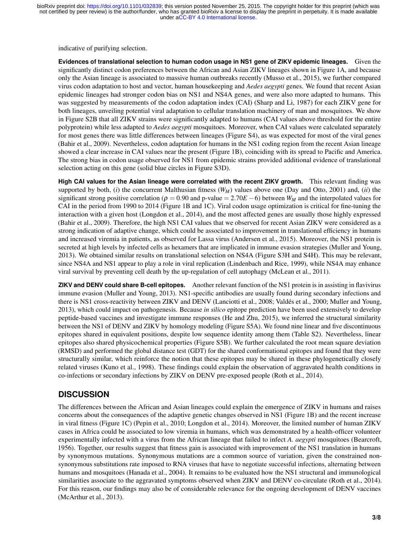indicative of purifying selection.

**Evidences of translational selection to human codon usage in NS1 gene of ZIKV epidemic lineages.** Given the significantly distinct codon preferences between the African and Asian ZIKV lineages shown in Figure 1A, and because only the Asian lineage is associated to massive human outbreaks recently (Musso et al., 2015), we further compared virus codon adaptation to host and vector, human housekeeping and *Aedes aegypti* genes. We found that recent Asian epidemic lineages had stronger codon bias on NS1 and NS4A genes, and were also more adapted to humans. This was suggested by measurements of the codon adaptation index (CAI) (Sharp and Li, 1987) for each ZIKV gene for both lineages, unveiling potential viral adaptation to cellular translation machinery of man and mosquitoes. We show in Figure S2B that all ZIKV strains were significantly adapted to humans (CAI values above threshold for the entire polyprotein) while less adapted to *Aedes aegypti* mosquitoes. Moreover, when CAI values were calculated separately for most genes there was little differences between lineages (Figure S4), as was expected for most of the viral genes (Bahir et al., 2009). Nevertheless, codon adaptation for humans in the NS1 coding region from the recent Asian lineage showed a clear increase in CAI values near the present (Figure 1B), coinciding with its spread to Pacific and America. The strong bias in codon usage observed for NS1 from epidemic strains provided additional evidence of translational selection acting on this gene (solid blue circles in Figure S3D).

**High CAI values for the Asian lineage were correlated with the recent ZIKV growth.** This relevant finding was supported by both,  $(i)$  the concurrent Malthusian fitness  $(W_M)$  values above one (Day and Otto, 2001) and,  $(ii)$  the significant strong positive correlation ( $\rho = 0.90$  and p-value = 2.70*E* − 6) between *W<sub>M</sub>* and the interpolated values for CAI in the period from 1990 to 2014 (Figure 1B and 1C). Viral codon usage optimization is critical for fine-tuning the interaction with a given host (Longdon et al., 2014), and the most affected genes are usually those highly expressed (Bahir et al., 2009). Therefore, the high NS1 CAI values that we observed for recent Asian ZIKV were considered as a strong indication of adaptive change, which could be associated to improvement in translational efficiency in humans and increased viremia in patients, as observed for Lassa virus (Andersen et al., 2015). Moreover, the NS1 protein is secreted at high levels by infected cells as hexamers that are implicated in immune evasion strategies (Muller and Young, 2013). We obtained similar results on translational selection on NS4A (Figure S3H and S4H). This may be relevant, since NS4A and NS1 appear to play a role in viral replication (Lindenbach and Rice, 1999), while NS4A may enhance viral survival by preventing cell death by the up-regulation of cell autophagy (McLean et al., 2011).

**ZIKV and DENV could share B-cell epitopes.** Another relevant function of the NS1 protein is in assisting in flavivirus immune evasion (Muller and Young, 2013). NS1-specific antibodies are usually found during secondary infections and there is NS1 cross-reactivity between ZIKV and DENV (Lanciotti et al., 2008; Valdes et al., 2000; Muller and Young, ´ 2013), which could impact on pathogenesis. Because *in silico* epitope prediction have been used extensively to develop peptide-based vaccines and investigate immune responses (He and Zhu, 2015), we inferred the structural similarity between the NS1 of DENV and ZIKV by homology modeling (Figure S5A). We found nine linear and five discontinuous epitopes shared in equivalent positions, despite low sequence identity among them (Table S2). Nevertheless, linear epitopes also shared physicochemical properties (Figure S5B). We further calculated the root mean square deviation (RMSD) and performed the global distance test (GDT) for the shared conformational epitopes and found that they were structurally similar, which reinforce the notion that these epitopes may be shared in these phylogenetically closely related viruses (Kuno et al., 1998). These findings could explain the observation of aggravated health conditions in co-infections or secondary infections by ZIKV on DENV pre-exposed people (Roth et al., 2014).

# **DISCUSSION**

The differences between the African and Asian lineages could explain the emergence of ZIKV in humans and raises concerns about the consequences of the adaptive genetic changes observed in NS1 (Figure 1B) and the recent increase in viral fitness (Figure 1C) (Pepin et al., 2010; Longdon et al., 2014). Moreover, the limited number of human ZIKV cases in Africa could be associated to low viremia in humans, which was demonstrated by a health-officer volunteer experimentally infected with a virus from the African lineage that failed to infect *A. aegypti* mosquitoes (Bearcroft, 1956). Together, our results suggest that fitness gain is associated with improvement of the NS1 translation in humans by synonymous mutations. Synonymous mutations are a common source of variation, given the constrained nonsynonymous substitutions rate imposed to RNA viruses that have to negotiate successful infections, alternating between humans and mosquitoes (Hanada et al., 2004). It remains to be evaluated how the NS1 structural and immunological similarities associate to the aggravated symptoms observed when ZIKV and DENV co-circulate (Roth et al., 2014). For this reason, our findings may also be of considerable relevance for the ongoing development of DENV vaccines (McArthur et al., 2013).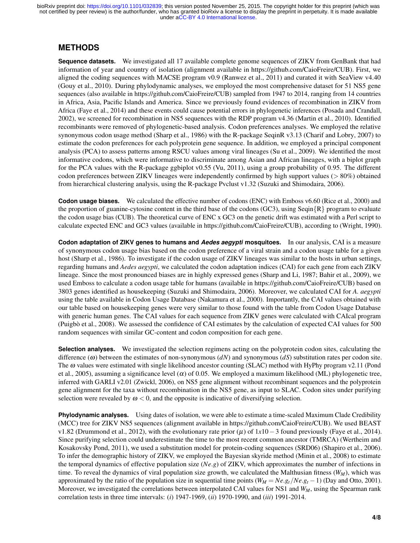under [aCC-BY 4.0 International license.](http://creativecommons.org/licenses/by/4.0/) not certified by peer review) is the author/funder, who has granted bioRxiv a license to display the preprint in perpetuity. It is made available bioRxiv preprint doi: [https://doi.org/10.1101/032839;](https://doi.org/10.1101/032839) this version posted November 25, 2015. The copyright holder for this preprint (which was

#### **METHODS**

**Sequence datasets.** We investigated all 17 available complete genome sequences of ZIKV from GenBank that had information of year and country of isolation (alignment available in https://github.com/CaioFreire/CUB). First, we aligned the coding sequences with MACSE program v0.9 (Ranwez et al., 2011) and curated it with SeaView v4.40 (Gouy et al., 2010). During phylodynamic analyses, we employed the most comprehensive dataset for 51 NS5 gene sequences (also available in https://github.com/CaioFreire/CUB) sampled from 1947 to 2014, ranging from 14 countries in Africa, Asia, Pacific Islands and America. Since we previously found evidences of recombination in ZIKV from Africa (Faye et al., 2014) and these events could cause potential errors in phylogenetic inferences (Posada and Crandall, 2002), we screened for recombination in NS5 sequences with the RDP program v4.36 (Martin et al., 2010). Identified recombinants were removed of phylogenetic-based analysis. Codon preferences analyses. We employed the relative synonymous codon usage method (Sharp et al., 1986) with the R-package SeqinR v3.13 (Charif and Lobry, 2007) to estimate the codon preferences for each polyprotein gene sequence. In addition, we employed a principal component analysis (PCA) to assess patterns among RSCU values among viral lineages (Su et al., 2009). We identified the most informative codons, which were informative to discriminate among Asian and African lineages, with a biplot graph for the PCA values with the R-package ggbiplot v0.55 (Vu, 2011), using a group probability of 0.95. The different codon preferences between ZIKV lineages were independently confirmed by high support values (> 80%) obtained from hierarchical clustering analysis, using the R-package Pvclust v1.32 (Suzuki and Shimodaira, 2006).

**Codon usage biases.** We calculated the effective number of codons (ENC) with Emboss v6.60 (Rice et al., 2000) and the proportion of guanine-cytosine content in the third base of the codons (GC3), using Seqin $\{R\}$  program to evaluate the codon usage bias (CUB). The theoretical curve of ENC x GC3 on the genetic drift was estimated with a Perl script to calculate expected ENC and GC3 values (available in https://github.com/CaioFreire/CUB), according to (Wright, 1990).

**Codon adaptation of ZIKV genes to humans and** *Aedes aegypti* **mosquitoes.** In our analysis, CAI is a measure of synonymous codon usage bias based on the codon preference of a viral strain and a codon usage table for a given host (Sharp et al., 1986). To investigate if the codon usage of ZIKV lineages was similar to the hosts in urban settings, regarding humans and *Aedes aegypti*, we calculated the codon adaptation indices (CAI) for each gene from each ZIKV lineage. Since the most pronounced biases are in highly expressed genes (Sharp and Li, 1987; Bahir et al., 2009), we used Emboss to calculate a codon usage table for humans (available in https://github.com/CaioFreire/CUB) based on 3803 genes identified as housekeeping (Suzuki and Shimodaira, 2006). Moreover, we calculated CAI for *A. aegypti* using the table available in Codon Usage Database (Nakamura et al., 2000). Importantly, the CAI values obtained with our table based on housekeeping genes were very similar to those found with the table from Codon Usage Database with generic human genes. The CAI values for each sequence from ZIKV genes were calculated with CAIcal program (Puigbò et al., 2008). We assessed the confidence of CAI estimates by the calculation of expected CAI values for 500 random sequences with similar GC-content and codon composition for each gene.

**Selection analyses.** We investigated the selection regimens acting on the polyprotein codon sites, calculating the difference (ω) between the estimates of non-synonymous (*dN*) and synonymous (*dS*) substitution rates per codon site. The  $\omega$  values were estimated with single likelihood ancestor counting (SLAC) method with HyPhy program v2.11 (Pond et al., 2005), assuming a significance level ( $\alpha$ ) of 0.05. We employed a maximum likelihood (ML) phylogenetic tree, inferred with GARLI v2.01 (Zwickl, 2006), on NS5 gene alignment without recombinant sequences and the polyprotein gene alignment for the taxa without recombination in the NS5 gene, as input to SLAC. Codon sites under purifying selection were revealed by  $\omega < 0$ , and the opposite is indicative of diversifying selection.

**Phylodynamic analyses.** Using dates of isolation, we were able to estimate a time-scaled Maximum Clade Credibility (MCC) tree for ZIKV NS5 sequences (alignment available in https://github.com/CaioFreire/CUB). We used BEAST v1.82 (Drummond et al., 2012), with the evolutionary rate prior (µ) of 1*x*10−3 found previously (Faye et al., 2014). Since purifying selection could underestimate the time to the most recent common ancestor (TMRCA) (Wertheim and Kosakovsky Pond, 2011), we used a substitution model for protein-coding sequences (SRD06) (Shapiro et al., 2006). To infer the demographic history of ZIKV, we employed the Bayesian skyride method (Minin et al., 2008) to estimate the temporal dynamics of effective population size (*Ne*.*g*) of ZIKV, which approximates the number of infections in time. To reveal the dynamics of viral population size growth, we calculated the Malthusian fitness (*WM*), which was approximated by the ratio of the population size in sequential time points  $(W_M = Ne.g_t/Ne.g_t - 1)$  (Day and Otto, 2001). Moreover, we investigated the correlations between interpolated CAI values for NS1 and *WM*, using the Spearman rank correlation tests in three time intervals: (*i*) 1947-1969, (*ii*) 1970-1990, and (*iii*) 1991-2014.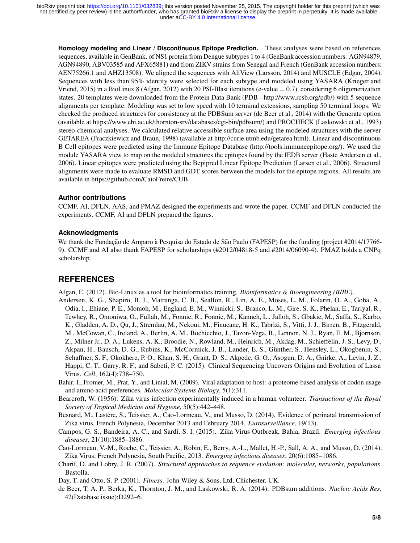**Homology modeling and Linear / Discontinuous Epitope Prediction.** These analyses were based on references sequences, available in GenBank, of NS1 protein from Dengue subtypes 1 to 4 (GenBank accession numbers: AGN94879, AGN94890, ABV03585 and AFX65881) and from ZIKV strains from Senegal and French (GenBank accession numbers: AEN75266.1 and AHZ13508). We aligned the sequences with AliView (Larsson, 2014) and MUSCLE (Edgar, 2004). Sequences with less than 95% identity were selected for each subtype and modeled using YASARA (Krieger and Vriend, 2015) in a BioLinux 8 (Afgan, 2012) with 20 PSI-Blast iterations (e-value  $= 0.7$ ), considering 6 oligomerization states. 20 templates were downloaded from the Protein Data Bank (PDB - http://www.rcsb.org/pdb/) with 5 sequence alignments per template. Modeling was set to low speed with 10 terminal extensions, sampling 50 terminal loops. We checked the produced structures for consistency at the PDBSum server (de Beer et al., 2014) with the Generate option (available at https://www.ebi.ac.uk/thornton-srv/databases/cgi-bin/pdbsum/) and PROCHECK (Laskowski et al., 1993) stereo-chemical analyses. We calculated relative accessible surface area using the modeled structures with the server GETAREA (Fraczkiewicz and Braun, 1998) (available at http://curie.utmb.edu/getarea.html). Linear and discontinuous B Cell epitopes were predicted using the Immune Epitope Database (http://tools.immuneepitope.org/). We used the module YASARA view to map on the modeled structures the epitopes found by the IEDB server (Haste Andersen et al., 2006). Linear epitopes were predicted using the Bepipred Linear Epitope Prediction (Larsen et al., 2006). Structural alignments were made to evaluate RMSD and GDT scores between the models for the epitope regions. All results are available in https://github.com/CaioFreire/CUB.

#### **Author contributions**

CCMF, AI, DFLN, AAS, and PMAZ designed the experiments and wrote the paper. CCMF and DFLN conducted the experiments. CCMF, AI and DFLN prepared the figures.

#### **Acknowledgments**

We thank the Fundação de Amparo à Pesquisa do Estado de São Paulo (FAPESP) for the funding (project #2014/17766-9). CCMF and AI also thank FAPESP for scholarships (#2012/04818-5 and #2014/06090-4). PMAZ holds a CNPq scholarship.

# **REFERENCES**

Afgan, E. (2012). Bio-Linux as a tool for bioinformatics training. *Bioinformatics & Bioengineering (BIBE)*.

- Andersen, K. G., Shapiro, B. J., Matranga, C. B., Sealfon, R., Lin, A. E., Moses, L. M., Folarin, O. A., Goba, A., Odia, I., Ehiane, P. E., Momoh, M., England, E. M., Winnicki, S., Branco, L. M., Gire, S. K., Phelan, E., Tariyal, R., Tewhey, R., Omoniwa, O., Fullah, M., Fonnie, R., Fonnie, M., Kanneh, L., Jalloh, S., Gbakie, M., Saffa, S., Karbo, K., Gladden, A. D., Qu, J., Stremlau, M., Nekoui, M., Finucane, H. K., Tabrizi, S., Vitti, J. J., Birren, B., Fitzgerald, M., McCowan, C., Ireland, A., Berlin, A. M., Bochicchio, J., Tazon-Vega, B., Lennon, N. J., Ryan, E. M., Bjornson, Z., Milner Jr., D. A., Lukens, A. K., Broodie, N., Rowland, M., Heinrich, M., Akdag, M., Schieffelin, J. S., Levy, D., Akpan, H., Bausch, D. G., Rubins, K., McCormick, J. B., Lander, E. S., Gunther, S., Hensley, L., Okogbenin, S., ¨ Schaffner, S. F., Okokhere, P. O., Khan, S. H., Grant, D. S., Akpede, G. O., Asogun, D. A., Gnirke, A., Levin, J. Z., Happi, C. T., Garry, R. F., and Sabeti, P. C. (2015). Clinical Sequencing Uncovers Origins and Evolution of Lassa Virus. *Cell*, 162(4):738–750.
- Bahir, I., Fromer, M., Prat, Y., and Linial, M. (2009). Viral adaptation to host: a proteome-based analysis of codon usage and amino acid preferences. *Molecular Systems Biology*, 5(1):311.
- Bearcroft, W. (1956). Zika virus infection experimentally induced in a human volunteer. *Transactions of the Royal Society of Tropical Medicine and Hygiene*, 50(5):442–448.
- Besnard, M., Lastère, S., Teissier, A., Cao-Lormeau, V., and Musso, D. (2014). Evidence of perinatal transmission of Zika virus, French Polynesia, December 2013 and February 2014. *Eurosurveillance*, 19(13).
- Campos, G. S., Bandeira, A. C., and Sardi, S. I. (2015). Zika Virus Outbreak, Bahia, Brazil. *Emerging infectious diseases*, 21(10):1885–1886.
- Cao-Lormeau, V.-M., Roche, C., Teissier, A., Robin, E., Berry, A.-L., Mallet, H.-P., Sall, A. A., and Musso, D. (2014). Zika Virus, French Polynesia, South Pacific, 2013. *Emerging infectious diseases*, 20(6):1085–1086.
- Charif, D. and Lobry, J. R. (2007). *Structural approaches to sequence evolution: molecules, networks, populations*. Bastolla.
- Day, T. and Otto, S. P. (2001). *Fitness*. John Wiley & Sons, Ltd, Chichester, UK.
- de Beer, T. A. P., Berka, K., Thornton, J. M., and Laskowski, R. A. (2014). PDBsum additions. *Nucleic Acids Res*, 42(Database issue):D292–6.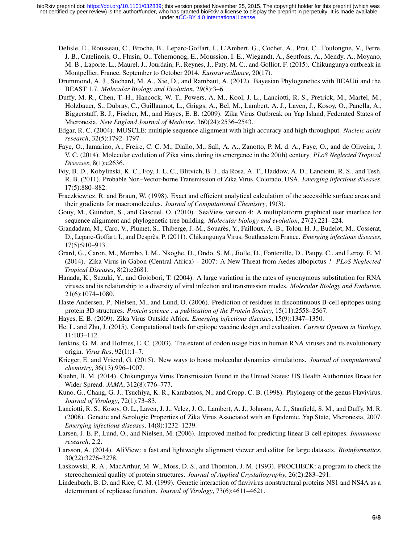- Delisle, E., Rousseau, C., Broche, B., Leparc-Goffart, I., L'Ambert, G., Cochet, A., Prat, C., Foulongne, V., Ferre, J. B., Catelinois, O., Flusin, O., Tchernonog, E., Moussion, I. E., Wiegandt, A., Septfons, A., Mendy, A., Moyano, M. B., Laporte, L., Maurel, J., Jourdain, F., Reynes, J., Paty, M. C., and Golliot, F. (2015). Chikungunya outbreak in Montpellier, France, September to October 2014. *Eurosurveillance*, 20(17).
- Drummond, A. J., Suchard, M. A., Xie, D., and Rambaut, A. (2012). Bayesian Phylogenetics with BEAUti and the BEAST 1.7. *Molecular Biology and Evolution*, 29(8):3–6.
- Duffy, M. R., Chen, T.-H., Hancock, W. T., Powers, A. M., Kool, J. L., Lanciotti, R. S., Pretrick, M., Marfel, M., Holzbauer, S., Dubray, C., Guillaumot, L., Griggs, A., Bel, M., Lambert, A. J., Laven, J., Kosoy, O., Panella, A., Biggerstaff, B. J., Fischer, M., and Hayes, E. B. (2009). Zika Virus Outbreak on Yap Island, Federated States of Micronesia. *New England Journal of Medicine*, 360(24):2536–2543.
- Edgar, R. C. (2004). MUSCLE: multiple sequence alignment with high accuracy and high throughput. *Nucleic acids research*, 32(5):1792–1797.
- Faye, O., Iamarino, A., Freire, C. C. M., Diallo, M., Sall, A. A., Zanotto, P. M. d. A., Faye, O., and de Oliveira, J. V. C. (2014). Molecular evolution of Zika virus during its emergence in the 20(th) century. *PLoS Neglected Tropical Diseases*, 8(1):e2636.
- Foy, B. D., Kobylinski, K. C., Foy, J. L. C., Blitvich, B. J., da Rosa, A. T., Haddow, A. D., Lanciotti, R. S., and Tesh, R. B. (2011). Probable Non–Vector-borne Transmission of Zika Virus, Colorado, USA. *Emerging infectious diseases*, 17(5):880–882.
- Fraczkiewicz, R. and Braun, W. (1998). Exact and efficient analytical calculation of the accessible surface areas and their gradients for macromolecules. *Journal of Computational Chemistry*, 19(3).
- Gouy, M., Guindon, S., and Gascuel, O. (2010). SeaView version 4: A multiplatform graphical user interface for sequence alignment and phylogenetic tree building. *Molecular biology and evolution*, 27(2):221–224.
- Grandadam, M., Caro, V., Plumet, S., Thiberge, J.-M., Souares, Y., Failloux, A.-B., Tolou, H. J., Budelot, M., Cosserat, ` D., Leparc-Goffart, I., and Despres, P. (2011). Chikungunya Virus, Southeastern France. ` *Emerging infectious diseases*, 17(5):910–913.
- Grard, G., Caron, M., Mombo, I. M., Nkoghe, D., Ondo, S. M., Jiolle, D., Fontenille, D., Paupy, C., and Leroy, E. M. (2014). Zika Virus in Gabon (Central Africa) – 2007: A New Threat from Aedes albopictus ? *PLoS Neglected Tropical Diseases*, 8(2):e2681.
- Hanada, K., Suzuki, Y., and Gojobori, T. (2004). A large variation in the rates of synonymous substitution for RNA viruses and its relationship to a diversity of viral infection and transmission modes. *Molecular Biology and Evolution*, 21(6):1074–1080.
- Haste Andersen, P., Nielsen, M., and Lund, O. (2006). Prediction of residues in discontinuous B-cell epitopes using protein 3D structures. *Protein science : a publication of the Protein Society*, 15(11):2558–2567.
- Hayes, E. B. (2009). Zika Virus Outside Africa. *Emerging infectious diseases*, 15(9):1347–1350.
- He, L. and Zhu, J. (2015). Computational tools for epitope vaccine design and evaluation. *Current Opinion in Virology*, 11:103–112.
- Jenkins, G. M. and Holmes, E. C. (2003). The extent of codon usage bias in human RNA viruses and its evolutionary origin. *Virus Res*, 92(1):1–7.
- Krieger, E. and Vriend, G. (2015). New ways to boost molecular dynamics simulations. *Journal of computational chemistry*, 36(13):996–1007.
- Kuehn, B. M. (2014). Chikungunya Virus Transmission Found in the United States: US Health Authorities Brace for Wider Spread. *JAMA*, 312(8):776–777.
- Kuno, G., Chang, G. J., Tsuchiya, K. R., Karabatsos, N., and Cropp, C. B. (1998). Phylogeny of the genus Flavivirus. *Journal of Virology*, 72(1):73–83.
- Lanciotti, R. S., Kosoy, O. L., Laven, J. J., Velez, J. O., Lambert, A. J., Johnson, A. J., Stanfield, S. M., and Duffy, M. R. (2008). Genetic and Serologic Properties of Zika Virus Associated with an Epidemic, Yap State, Micronesia, 2007. *Emerging infectious diseases*, 14(8):1232–1239.
- Larsen, J. E. P., Lund, O., and Nielsen, M. (2006). Improved method for predicting linear B-cell epitopes. *Immunome research*, 2:2.
- Larsson, A. (2014). AliView: a fast and lightweight alignment viewer and editor for large datasets. *Bioinformatics*, 30(22):3276–3278.
- Laskowski, R. A., MacArthur, M. W., Moss, D. S., and Thornton, J. M. (1993). PROCHECK: a program to check the stereochemical quality of protein structures. *Journal of Applied Crystallography*, 26(2):283–291.
- Lindenbach, B. D. and Rice, C. M. (1999). Genetic interaction of flavivirus nonstructural proteins NS1 and NS4A as a determinant of replicase function. *Journal of Virology*, 73(6):4611–4621.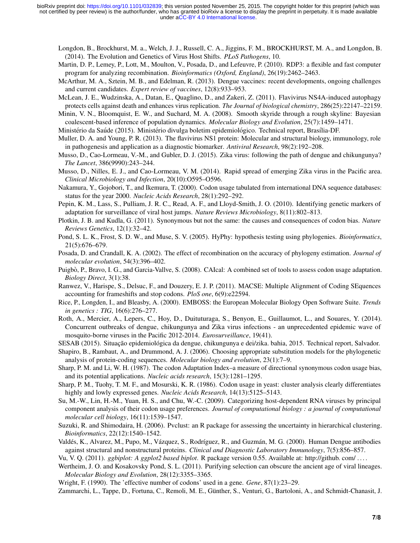Longdon, B., Brockhurst, M. a., Welch, J. J., Russell, C. A., Jiggins, F. M., BROCKHURST, M. A., and Longdon, B. (2014). The Evolution and Genetics of Virus Host Shifts. *PLoS Pathogens*, 10.

- Martin, D. P., Lemey, P., Lott, M., Moulton, V., Posada, D., and Lefeuvre, P. (2010). RDP3: a flexible and fast computer program for analyzing recombination. *Bioinformatics (Oxford, England)*, 26(19):2462–2463.
- McArthur, M. A., Sztein, M. B., and Edelman, R. (2013). Dengue vaccines: recent developments, ongoing challenges and current candidates. *Expert review of vaccines*, 12(8):933–953.
- McLean, J. E., Wudzinska, A., Datan, E., Quaglino, D., and Zakeri, Z. (2011). Flavivirus NS4A-induced autophagy protects cells against death and enhances virus replication. *The Journal of biological chemistry*, 286(25):22147–22159.
- Minin, V. N., Bloomquist, E. W., and Suchard, M. A. (2008). Smooth skyride through a rough skyline: Bayesian coalescent-based inference of population dynamics. *Molecular Biology and Evolution*, 25(7):1459–1471.
- Ministério da Saúde (2015). Ministério divulga boletim epidemiológico. Technical report, Brasília-DF.
- Muller, D. A. and Young, P. R. (2013). The flavivirus NS1 protein: Molecular and structural biology, immunology, role in pathogenesis and application as a diagnostic biomarker. *Antiviral Research*, 98(2):192–208.
- Musso, D., Cao-Lormeau, V.-M., and Gubler, D. J. (2015). Zika virus: following the path of dengue and chikungunya? *The Lancet*, 386(9990):243–244.
- Musso, D., Nilles, E. J., and Cao-Lormeau, V. M. (2014). Rapid spread of emerging Zika virus in the Pacific area. *Clinical Microbiology and Infection*, 20(10):O595–O596.
- Nakamura, Y., Gojobori, T., and Ikemura, T. (2000). Codon usage tabulated from international DNA sequence databases: status for the year 2000. *Nucleic Acids Research*, 28(1):292–292.
- Pepin, K. M., Lass, S., Pulliam, J. R. C., Read, A. F., and Lloyd-Smith, J. O. (2010). Identifying genetic markers of adaptation for surveillance of viral host jumps. *Nature Reviews Microbiology*, 8(11):802–813.
- Plotkin, J. B. and Kudla, G. (2011). Synonymous but not the same: the causes and consequences of codon bias. *Nature Reviews Genetics*, 12(1):32–42.
- Pond, S. L. K., Frost, S. D. W., and Muse, S. V. (2005). HyPhy: hypothesis testing using phylogenies. *Bioinformatics*, 21(5):676–679.
- Posada, D. and Crandall, K. A. (2002). The effect of recombination on the accuracy of phylogeny estimation. *Journal of molecular evolution*, 54(3):396–402.
- Puigbò, P., Bravo, I. G., and Garcia-Vallve, S. (2008). CAIcal: A combined set of tools to assess codon usage adaptation. *Biology Direct*, 3(1):38.
- Ranwez, V., Harispe, S., Delsuc, F., and Douzery, E. J. P. (2011). MACSE: Multiple Alignment of Coding SEquences accounting for frameshifts and stop codons. *PloS one*, 6(9):e22594.
- Rice, P., Longden, I., and Bleasby, A. (2000). EMBOSS: the European Molecular Biology Open Software Suite. *Trends in genetics : TIG*, 16(6):276–277.
- Roth, A., Mercier, A., Lepers, C., Hoy, D., Duituturaga, S., Benyon, E., Guillaumot, L., and Souares, Y. (2014). Concurrent outbreaks of dengue, chikungunya and Zika virus infections - an unprecedented epidemic wave of mosquito-borne viruses in the Pacific 2012-2014. *Eurosurveillance*, 19(41).
- SESAB (2015). Situação epidemiológica da dengue, chikungunya e dei/zika. bahia, 2015. Technical report, Salvador.
- Shapiro, B., Rambaut, A., and Drummond, A. J. (2006). Choosing appropriate substitution models for the phylogenetic analysis of protein-coding sequences. *Molecular biology and evolution*, 23(1):7–9.
- Sharp, P. M. and Li, W. H. (1987). The codon Adaptation Index–a measure of directional synonymous codon usage bias, and its potential applications. *Nucleic acids research*, 15(3):1281–1295.
- Sharp, P. M., Tuohy, T. M. F., and Mosurski, K. R. (1986). Codon usage in yeast: cluster analysis clearly differentiates highly and lowly expressed genes. *Nucleic Acids Research*, 14(13):5125–5143.
- Su, M.-W., Lin, H.-M., Yuan, H. S., and Chu, W.-C. (2009). Categorizing host-dependent RNA viruses by principal component analysis of their codon usage preferences. *Journal of computational biology : a journal of computational molecular cell biology*, 16(11):1539–1547.
- Suzuki, R. and Shimodaira, H. (2006). Pvclust: an R package for assessing the uncertainty in hierarchical clustering. *Bioinformatics*, 22(12):1540–1542.
- Valdés, K., Alvarez, M., Pupo, M., Vázquez, S., Rodríguez, R., and Guzmán, M. G. (2000). Human Dengue antibodies against structural and nonstructural proteins. *Clinical and Diagnostic Laboratory Immunology*, 7(5):856–857.
- Vu, V. Q. (2011). *ggbiplot: A ggplot2 based biplot*. R package version 0.55. Available at: http://github. com/ . . . .
- Wertheim, J. O. and Kosakovsky Pond, S. L. (2011). Purifying selection can obscure the ancient age of viral lineages. *Molecular Biology and Evolution*, 28(12):3355–3365.
- Wright, F. (1990). The 'effective number of codons' used in a gene. *Gene*, 87(1):23–29.

Zammarchi, L., Tappe, D., Fortuna, C., Remoli, M. E., Günther, S., Venturi, G., Bartoloni, A., and Schmidt-Chanasit, J.